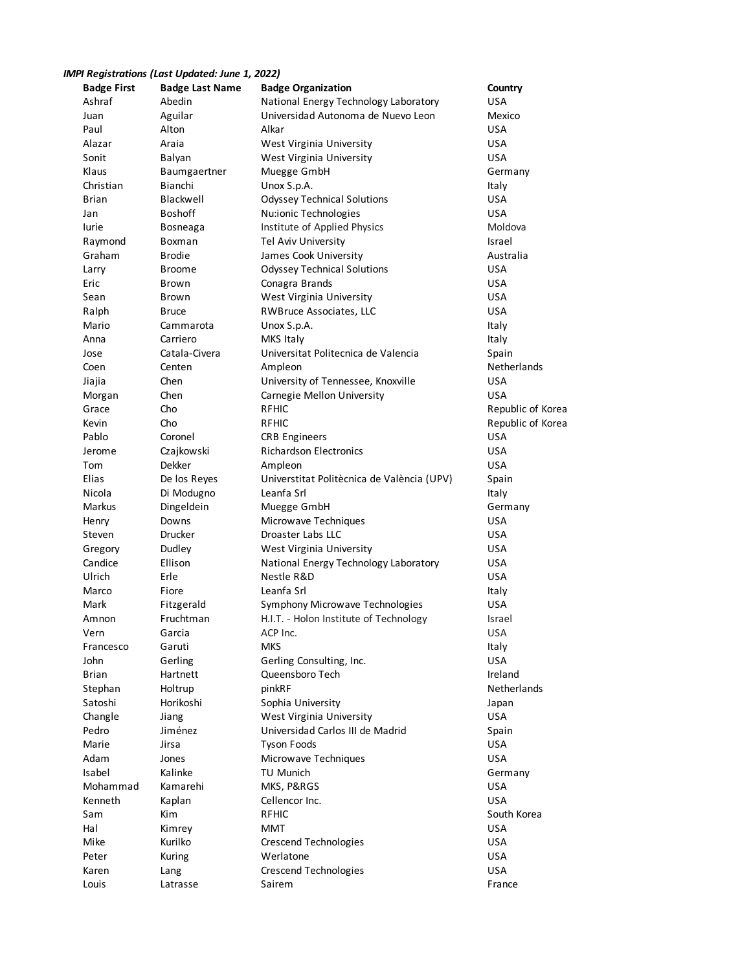## *IMPI Registrations (Last Updated: June 1, 2022)*

| <b>Badge First</b> | <b>Badge Last Name</b> | <b>Badge Organization</b>                  | Country           |
|--------------------|------------------------|--------------------------------------------|-------------------|
| Ashraf             | Abedin                 | National Energy Technology Laboratory      | <b>USA</b>        |
| Juan               | Aguilar                | Universidad Autonoma de Nuevo Leon         | Mexico            |
| Paul               | Alton                  | Alkar                                      | <b>USA</b>        |
| Alazar             | Araia                  | West Virginia University                   | <b>USA</b>        |
| Sonit              | Balyan                 | West Virginia University                   | <b>USA</b>        |
| Klaus              | Baumgaertner           | Muegge GmbH                                | Germany           |
| Christian          | Bianchi                | Unox S.p.A.                                | Italy             |
| <b>Brian</b>       | Blackwell              | <b>Odyssey Technical Solutions</b>         | <b>USA</b>        |
| Jan                | <b>Boshoff</b>         | Nu:ionic Technologies                      | <b>USA</b>        |
| lurie              | Bosneaga               | Institute of Applied Physics               | Moldova           |
| Raymond            | Boxman                 | Tel Aviv University                        | Israel            |
| Graham             | Brodie                 | James Cook University                      | Australia         |
| Larry              | Broome                 | <b>Odyssey Technical Solutions</b>         | <b>USA</b>        |
| Eric               | Brown                  | Conagra Brands                             | <b>USA</b>        |
| Sean               | Brown                  | West Virginia University                   | <b>USA</b>        |
| Ralph              | Bruce                  | RWBruce Associates, LLC                    | <b>USA</b>        |
| Mario              | Cammarota              | Unox S.p.A.                                | Italy             |
| Anna               | Carriero               | MKS Italy                                  | Italy             |
| Jose               | Catala-Civera          | Universitat Politecnica de Valencia        | Spain             |
| Coen               | Centen                 | Ampleon                                    | Netherlands       |
| Jiajia             | Chen                   | University of Tennessee, Knoxville         | <b>USA</b>        |
| Morgan             | Chen                   | Carnegie Mellon University                 | <b>USA</b>        |
| Grace              | Cho                    | <b>RFHIC</b>                               | Republic of Korea |
| Kevin              | Cho                    | <b>RFHIC</b>                               | Republic of Korea |
| Pablo              | Coronel                | <b>CRB Engineers</b>                       | <b>USA</b>        |
| Jerome             | Czajkowski             | <b>Richardson Electronics</b>              | <b>USA</b>        |
| Tom                | Dekker                 | Ampleon                                    | <b>USA</b>        |
| Elias              | De los Reyes           | Universtitat Politècnica de València (UPV) | Spain             |
| Nicola             | Di Modugno             | Leanfa Srl                                 | Italy             |
| Markus             | Dingeldein             | Muegge GmbH                                | Germany           |
| Henry              | Downs                  | Microwave Techniques                       | <b>USA</b>        |
| Steven             | Drucker                | Droaster Labs LLC                          | USA               |
| Gregory            | Dudley                 | West Virginia University                   | <b>USA</b>        |
| Candice            | Ellison                | National Energy Technology Laboratory      | USA               |
| Ulrich             | Erle                   | Nestle R&D                                 | <b>USA</b>        |
| Marco              | Fiore                  | Leanfa Srl                                 | Italy             |
| Mark               | Fitzgerald             | Symphony Microwave Technologies            | USA               |
| Amnon              | Fruchtman              | H.I.T. - Holon Institute of Technology     | Israel            |
| Vern               | Garcia                 | ACP Inc.                                   | <b>USA</b>        |
| Francesco          | Garuti                 | <b>MKS</b>                                 | Italy             |
| John               | Gerling                | Gerling Consulting, Inc.                   | <b>USA</b>        |
| Brian              | Hartnett               | Queensboro Tech                            | Ireland           |
| Stephan            | Holtrup                | pinkRF                                     | Netherlands       |
| Satoshi            | Horikoshi              | Sophia University                          | Japan             |
| Changle            | Jiang                  | West Virginia University                   | <b>USA</b>        |
| Pedro              | Jiménez                | Universidad Carlos III de Madrid           | Spain             |
| Marie              | Jirsa                  | <b>Tyson Foods</b>                         | USA               |
| Adam               | Jones                  | Microwave Techniques                       | USA               |
| Isabel             | Kalinke                | TU Munich                                  | Germany           |
| Mohammad           | Kamarehi               | MKS, P&RGS                                 | <b>USA</b>        |
| Kenneth            | Kaplan                 | Cellencor Inc.                             | <b>USA</b>        |
| Sam                | Kim                    | <b>RFHIC</b>                               | South Korea       |
| Hal                | Kimrey                 | <b>MMT</b>                                 | <b>USA</b>        |
| Mike               | Kurilko                | Crescend Technologies                      | <b>USA</b>        |
| Peter              | Kuring                 | Werlatone                                  | <b>USA</b>        |
| Karen              | Lang                   | <b>Crescend Technologies</b>               | <b>USA</b>        |
| Louis              | Latrasse               | Sairem                                     | France            |
|                    |                        |                                            |                   |